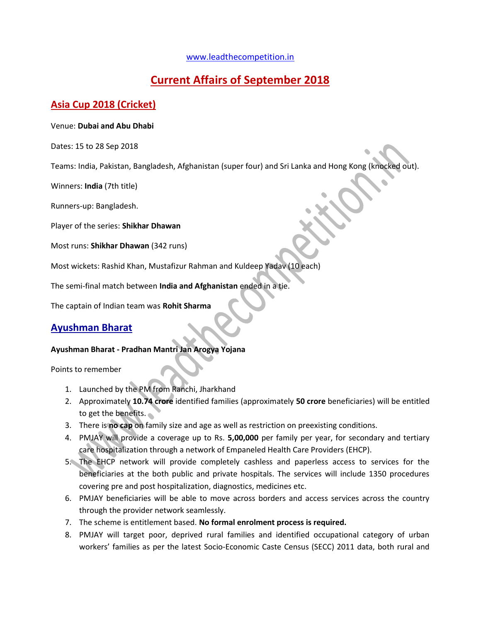#### www.leadthecompetition.in

# Current Affairs of September 2018

# Asia Cup 2018 (Cricket)

#### Venue: Dubai and Abu Dhabi

Dates: 15 to 28 Sep 2018

Teams: India, Pakistan, Bangladesh, Afghanistan (super four) and Sri Lanka and Hong Kong (knocked out).

Winners: India (7th title)

Runners-up: Bangladesh.

Player of the series: Shikhar Dhawan

Most runs: Shikhar Dhawan (342 runs)

Most wickets: Rashid Khan, Mustafizur Rahman and Kuldeep Yadav (10 each)

The semi-final match between India and Afghanistan ended in a tie.

The captain of Indian team was Rohit Sharma

## Ayushman Bharat

#### Ayushman Bharat - Pradhan Mantri Jan Arogya Yojana

Points to remember

- 1. Launched by the PM from Ranchi, Jharkhand
- 2. Approximately 10.74 crore identified families (approximately 50 crore beneficiaries) will be entitled to get the benefits.
- 3. There is no cap on family size and age as well as restriction on preexisting conditions.
- 4. PMJAY will provide a coverage up to Rs. 5,00,000 per family per year, for secondary and tertiary care hospitalization through a network of Empaneled Health Care Providers (EHCP).
- 5. The EHCP network will provide completely cashless and paperless access to services for the beneficiaries at the both public and private hospitals. The services will include 1350 procedures covering pre and post hospitalization, diagnostics, medicines etc.
- 6. PMJAY beneficiaries will be able to move across borders and access services across the country through the provider network seamlessly.
- 7. The scheme is entitlement based. No formal enrolment process is required.
- 8. PMJAY will target poor, deprived rural families and identified occupational category of urban workers' families as per the latest Socio-Economic Caste Census (SECC) 2011 data, both rural and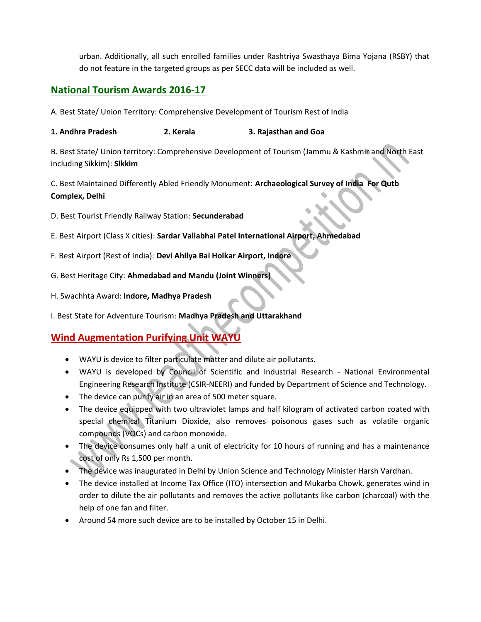urban. Additionally, all such enrolled families under Rashtriya Swasthaya Bima Yojana (RSBY) that do not feature in the targeted groups as per SECC data will be included as well.

# National Tourism Awards 2016-17

A. Best State/ Union Territory: Comprehensive Development of Tourism Rest of India

1. Andhra Pradesh 2. Kerala 3. Rajasthan and Goa

B. Best State/ Union territory: Comprehensive Development of Tourism (Jammu & Kashmir and North East including Sikkim): Sikkim

C. Best Maintained Differently Abled Friendly Monument: Archaeological Survey of India For Qutb Complex, Delhi

- D. Best Tourist Friendly Railway Station: Secunderabad
- E. Best Airport (Class X cities): Sardar Vallabhai Patel International Airport, Ahmedabad
- F. Best Airport (Rest of India): Devi Ahilya Bai Holkar Airport, Indore
- G. Best Heritage City: Ahmedabad and Mandu (Joint Winners)
- H. Swachhta Award: Indore, Madhya Pradesh

I. Best State for Adventure Tourism: Madhya Pradesh and Uttarakhand

# Wind Augmentation Purifying Unit WAYU

- WAYU is device to filter particulate matter and dilute air pollutants.
- WAYU is developed by Council of Scientific and Industrial Research National Environmental Engineering Research Institute (CSIR-NEERI) and funded by Department of Science and Technology.
- The device can purify air in an area of 500 meter square.
- The device equipped with two ultraviolet lamps and half kilogram of activated carbon coated with special chemical Titanium Dioxide, also removes poisonous gases such as volatile organic compounds (VOCs) and carbon monoxide.
- The device consumes only half a unit of electricity for 10 hours of running and has a maintenance cost of only Rs 1,500 per month.
- The device was inaugurated in Delhi by Union Science and Technology Minister Harsh Vardhan.
- The device installed at Income Tax Office (ITO) intersection and Mukarba Chowk, generates wind in order to dilute the air pollutants and removes the active pollutants like carbon (charcoal) with the help of one fan and filter.
- Around 54 more such device are to be installed by October 15 in Delhi.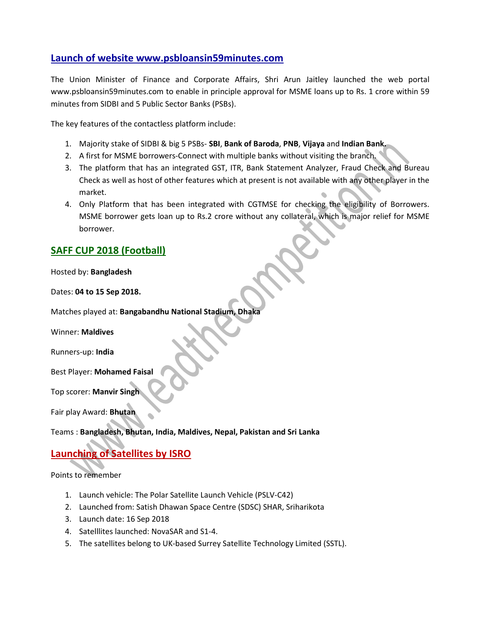# Launch of website www.psbloansin59minutes.com

The Union Minister of Finance and Corporate Affairs, Shri Arun Jaitley launched the web portal www.psbloansin59minutes.com to enable in principle approval for MSME loans up to Rs. 1 crore within 59 minutes from SIDBI and 5 Public Sector Banks (PSBs).

The key features of the contactless platform include:

- 1. Majority stake of SIDBI & big 5 PSBs- SBI, Bank of Baroda, PNB, Vijaya and Indian Bank.
- 2. A first for MSME borrowers-Connect with multiple banks without visiting the branch.
- 3. The platform that has an integrated GST, ITR, Bank Statement Analyzer, Fraud Check and Bureau Check as well as host of other features which at present is not available with any other player in the market.
- 4. Only Platform that has been integrated with CGTMSE for checking the eligibility of Borrowers. MSME borrower gets loan up to Rs.2 crore without any collateral, which is major relief for MSME borrower.

# SAFF CUP 2018 (Football)

Hosted by: Bangladesh

Dates: 04 to 15 Sep 2018.

Matches played at: Bangabandhu National Stadium, Dhaka

Winner: Maldives

Runners-up: India

Best Player: Mohamed Faisal

Top scorer: Manvir Singh

Fair play Award: Bhutan

Teams : Bangladesh, Bhutan, India, Maldives, Nepal, Pakistan and Sri Lanka

## Launching of Satellites by ISRO

Points to remember

- 1. Launch vehicle: The Polar Satellite Launch Vehicle (PSLV-C42)
- 2. Launched from: Satish Dhawan Space Centre (SDSC) SHAR, Sriharikota
- 3. Launch date: 16 Sep 2018
- 4. Satelllites launched: NovaSAR and S1-4.
- 5. The satellites belong to UK-based Surrey Satellite Technology Limited (SSTL).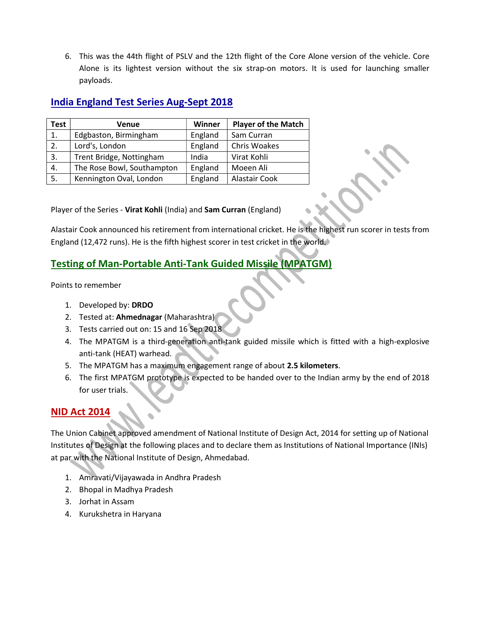6. This was the 44th flight of PSLV and the 12th flight of the Core Alone version of the vehicle. Core Alone is its lightest version without the six strap-on motors. It is used for launching smaller payloads.

| Test | Venue                      | Winner  | <b>Player of the Match</b> |
|------|----------------------------|---------|----------------------------|
| 1.   | Edgbaston, Birmingham      | England | Sam Curran                 |
| 2.   | Lord's, London             | England | Chris Woakes               |
| 3.   | Trent Bridge, Nottingham   | India   | Virat Kohli                |
| 4.   | The Rose Bowl, Southampton | England | Moeen Ali                  |
| 5.   | Kennington Oval, London    | England | <b>Alastair Cook</b>       |

# India England Test Series Aug-Sept 2018

Player of the Series - Virat Kohli (India) and Sam Curran (England)

Alastair Cook announced his retirement from international cricket. He is the highest run scorer in tests from England (12,472 runs). He is the fifth highest scorer in test cricket in the world.

# Testing of Man-Portable Anti-Tank Guided Missile (MPATGM)

Points to remember

- 1. Developed by: DRDO
- 2. Tested at: Ahmednagar (Maharashtra)
- 3. Tests carried out on: 15 and 16 Sep 2018
- 4. The MPATGM is a third-generation anti-tank guided missile which is fitted with a high-explosive anti-tank (HEAT) warhead.
- 5. The MPATGM has a maximum engagement range of about 2.5 kilometers.
- 6. The first MPATGM prototype is expected to be handed over to the Indian army by the end of 2018 for user trials.

## NID Act 2014

The Union Cabinet approved amendment of National Institute of Design Act, 2014 for setting up of National Institutes of Design at the following places and to declare them as Institutions of National Importance (INIs) at par with the National Institute of Design, Ahmedabad.

- 1. Amravati/Vijayawada in Andhra Pradesh
- 2. Bhopal in Madhya Pradesh
- 3. Jorhat in Assam
- 4. Kurukshetra in Haryana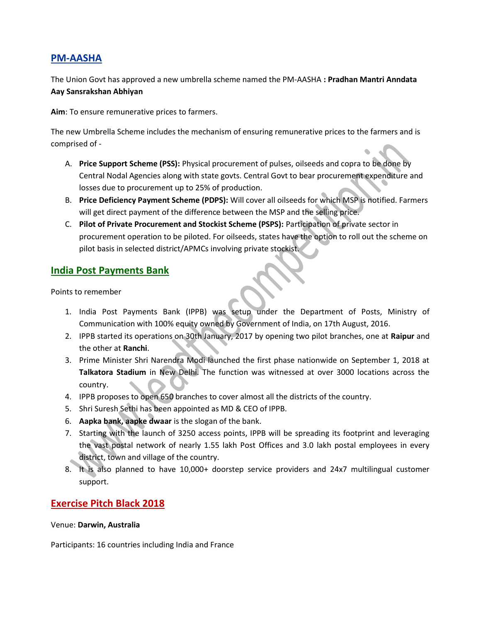# PM-AASHA

The Union Govt has approved a new umbrella scheme named the PM-AASHA : Pradhan Mantri Anndata Aay Sansrakshan Abhiyan

Aim: To ensure remunerative prices to farmers.

The new Umbrella Scheme includes the mechanism of ensuring remunerative prices to the farmers and is comprised of -

- A. Price Support Scheme (PSS): Physical procurement of pulses, oilseeds and copra to be done by Central Nodal Agencies along with state govts. Central Govt to bear procurement expenditure and losses due to procurement up to 25% of production.
- B. Price Deficiency Payment Scheme (PDPS): Will cover all oilseeds for which MSP is notified. Farmers will get direct payment of the difference between the MSP and the selling price.
- C. Pilot of Private Procurement and Stockist Scheme (PSPS): Participation of private sector in procurement operation to be piloted. For oilseeds, states have the option to roll out the scheme on pilot basis in selected district/APMCs involving private stockist.

## India Post Payments Bank

Points to remember

- 1. India Post Payments Bank (IPPB) was setup under the Department of Posts, Ministry of Communication with 100% equity owned by Government of India, on 17th August, 2016.
- 2. IPPB started its operations on 30th January, 2017 by opening two pilot branches, one at Raipur and the other at Ranchi.
- 3. Prime Minister Shri Narendra Modi launched the first phase nationwide on September 1, 2018 at Talkatora Stadium in New Delhi. The function was witnessed at over 3000 locations across the country.
- 4. IPPB proposes to open 650 branches to cover almost all the districts of the country.
- 5. Shri Suresh Sethi has been appointed as MD & CEO of IPPB.
- 6. Aapka bank, aapke dwaar is the slogan of the bank.
- 7. Starting with the launch of 3250 access points, IPPB will be spreading its footprint and leveraging the vast postal network of nearly 1.55 lakh Post Offices and 3.0 lakh postal employees in every district, town and village of the country.
- 8. It is also planned to have 10,000+ doorstep service providers and 24x7 multilingual customer support.

## Exercise Pitch Black 2018

#### Venue: Darwin, Australia

Participants: 16 countries including India and France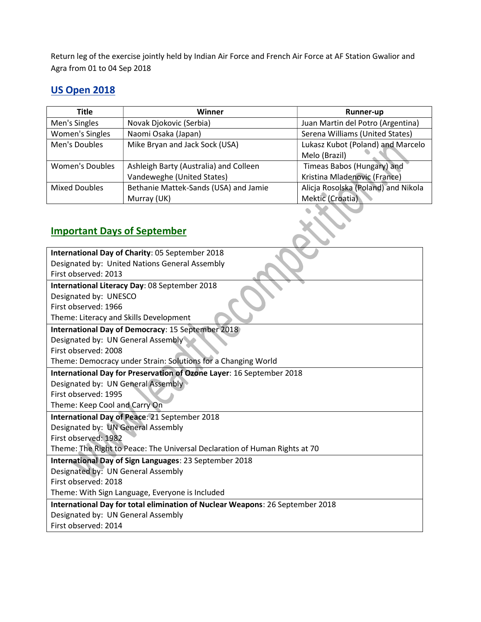Return leg of the exercise jointly held by Indian Air Force and French Air Force at AF Station Gwalior and Agra from 01 to 04 Sep 2018

# US Open 2018

| <b>Title</b>           | Winner                                 | Runner-up                           |
|------------------------|----------------------------------------|-------------------------------------|
| Men's Singles          | Novak Djokovic (Serbia)                | Juan Martin del Potro (Argentina)   |
| <b>Women's Singles</b> | Naomi Osaka (Japan)                    | Serena Williams (United States)     |
| Men's Doubles          | Mike Bryan and Jack Sock (USA)         | Lukasz Kubot (Poland) and Marcelo   |
|                        |                                        | Melo (Brazil)                       |
| <b>Women's Doubles</b> | Ashleigh Barty (Australia) and Colleen | Timeas Babos (Hungary) and          |
|                        | Vandeweghe (United States)             | Kristina Mladenovic (France)        |
| <b>Mixed Doubles</b>   | Bethanie Mattek-Sands (USA) and Jamie  | Alicja Rosolska (Poland) and Nikola |
|                        | Murray (UK)                            | Mektic (Croatia)                    |

# Important Days of September

| International Day of Charity: 05 September 2018                               |
|-------------------------------------------------------------------------------|
| Designated by: United Nations General Assembly                                |
| First observed: 2013                                                          |
| International Literacy Day: 08 September 2018                                 |
| Designated by: UNESCO                                                         |
| First observed: 1966                                                          |
| Theme: Literacy and Skills Development                                        |
| International Day of Democracy: 15 September 2018                             |
| Designated by: UN General Assembly                                            |
| First observed: 2008                                                          |
| Theme: Democracy under Strain: Solutions for a Changing World                 |
| International Day for Preservation of Ozone Layer: 16 September 2018          |
| Designated by: UN General Assembly                                            |
| First observed: 1995                                                          |
| Theme: Keep Cool and Carry On                                                 |
| International Day of Peace: 21 September 2018                                 |
| Designated by: UN General Assembly                                            |
| First observed: 1982                                                          |
| Theme: The Right to Peace: The Universal Declaration of Human Rights at 70    |
| International Day of Sign Languages: 23 September 2018                        |
| Designated by: UN General Assembly                                            |
| First observed: 2018                                                          |
| Theme: With Sign Language, Everyone is Included                               |
| International Day for total elimination of Nuclear Weapons: 26 September 2018 |
| Designated by: UN General Assembly                                            |
| First observed: 2014                                                          |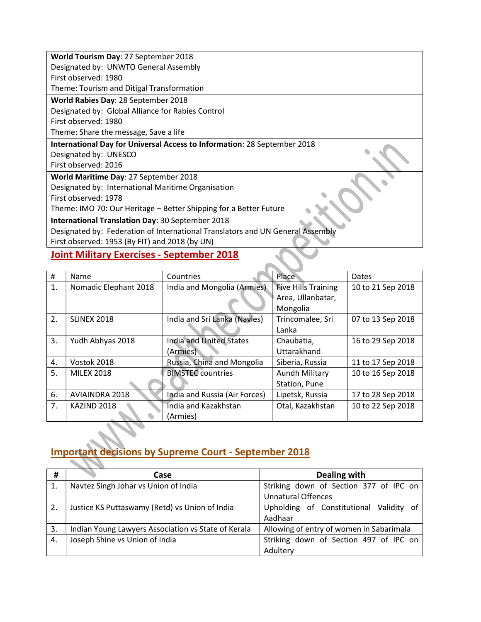World Tourism Day: 27 September 2018 Designated by: UNWTO General Assembly

First observed: 1980

Theme: Tourism and Ditigal Transformation

World Rabies Day: 28 September 2018

Designated by: Global Alliance for Rabies Control

First observed: 1980

Theme: Share the message, Save a life

## International Day for Universal Access to Information: 28 September 2018

Designated by: UNESCO

First observed: 2016

World Maritime Day: 27 September 2018

Designated by: International Maritime Organisation

First observed: 1978

Theme: IMO 70: Our Heritage – Better Shipping for a Better Future

#### International Translation Day: 30 September 2018

Designated by: Federation of International Translators and UN General Assembly First observed: 1953 (By FIT) and 2018 (by UN)

## Joint Military Exercises - September 2018

| #  | Name                  | Countries                      | Place                      | Dates             |
|----|-----------------------|--------------------------------|----------------------------|-------------------|
| 1. | Nomadic Elephant 2018 | India and Mongolia (Armies)    | <b>Five Hills Training</b> | 10 to 21 Sep 2018 |
|    |                       |                                | Area, Ullanbatar,          |                   |
|    |                       |                                | Mongolia                   |                   |
| 2. | <b>SLINEX 2018</b>    | India and Sri Lanka (Navies)   | Trincomalee, Sri           | 07 to 13 Sep 2018 |
|    |                       |                                | Lanka                      |                   |
| 3. | Yudh Abhyas 2018      | <b>India and United States</b> | Chaubatia,                 | 16 to 29 Sep 2018 |
|    |                       | (Armies)                       | Uttarakhand                |                   |
| 4. | Vostok 2018           | Russia, China and Mongolia     | Siberia, Russia            | 11 to 17 Sep 2018 |
| 5. | <b>MILEX 2018</b>     | <b>BIMSTEC</b> countries       | Aundh Military             | 10 to 16 Sep 2018 |
|    |                       |                                | Station, Pune              |                   |
| 6. | <b>AVIAINDRA 2018</b> | India and Russia (Air Forces)  | Lipetsk, Russia            | 17 to 28 Sep 2018 |
| 7. | KAZIND 2018           | India and Kazakhstan           | Otal, Kazakhstan           | 10 to 22 Sep 2018 |
|    |                       | (Armies)                       |                            |                   |

# Important decisions by Supreme Court - September 2018

| #  | Case                                                | Dealing with                             |
|----|-----------------------------------------------------|------------------------------------------|
| 1. | Navtez Singh Johar vs Union of India                | Striking down of Section 377 of IPC on   |
|    |                                                     | <b>Unnatural Offences</b>                |
| 2. | Justice KS Puttaswamy (Retd) vs Union of India      | Upholding of Constitutional Validity of  |
|    |                                                     | Aadhaar                                  |
| 3. | Indian Young Lawyers Association vs State of Kerala | Allowing of entry of women in Sabarimala |
| 4. | Joseph Shine vs Union of India                      | Striking down of Section 497 of IPC on   |
|    |                                                     | Adultery                                 |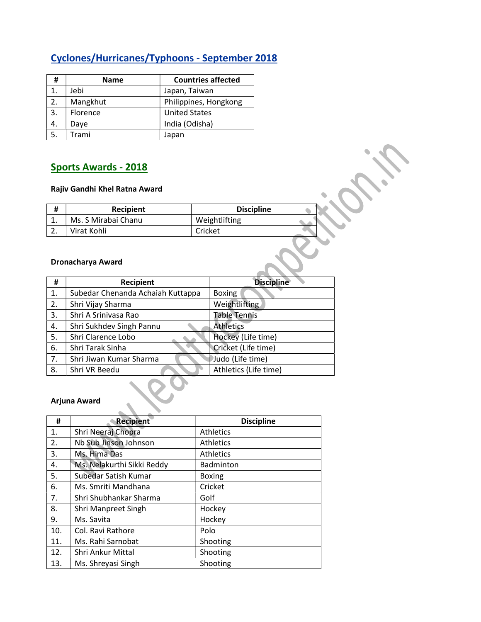# Cyclones/Hurricanes/Typhoons - September 2018

| #  | <b>Name</b>     | <b>Countries affected</b> |
|----|-----------------|---------------------------|
|    | Jebi            | Japan, Taiwan             |
| 2. | Mangkhut        | Philippines, Hongkong     |
| 3. | <b>Florence</b> | <b>United States</b>      |
| 4. | Daye            | India (Odisha)            |
|    | Trami           | Japan                     |

# Sports Awards - 2018

#### Rajiv Gandhi Khel Ratna Award

|          | <b>Recipient</b>    | <b>Discipline</b> |  |
|----------|---------------------|-------------------|--|
| <b>.</b> | Ms. S Mirabai Chanu | Weightlifting     |  |
|          | Virat Kohli         | Cricket           |  |

#### Dronacharya Award

| #  | <b>Recipient</b>                  | <b>Discipline</b>     |
|----|-----------------------------------|-----------------------|
| 1. | Subedar Chenanda Achaiah Kuttappa | <b>Boxing</b>         |
| 2. | Shri Vijay Sharma                 | Weightlifting         |
| 3. | Shri A Srinivasa Rao              | <b>Table Tennis</b>   |
| 4. | Shri Sukhdev Singh Pannu          | <b>Athletics</b>      |
| 5. | Shri Clarence Lobo                | Hockey (Life time)    |
| 6. | Shri Tarak Sinha                  | Cricket (Life time)   |
| 7. | Shri Jiwan Kumar Sharma           | Judo (Life time)      |
| 8. | Shri VR Beedu                     | Athletics (Life time) |

# Arjuna Award

| #   | <b>Recipient</b>           | <b>Discipline</b> |
|-----|----------------------------|-------------------|
| 1.  | Shri Neeraj Chopra         | <b>Athletics</b>  |
| 2.  | Nb Sub Jinson Johnson      | <b>Athletics</b>  |
| 3.  | Ms. Hima Das               | <b>Athletics</b>  |
| 4.  | Ms. Nelakurthi Sikki Reddy | Badminton         |
| 5.  | Subedar Satish Kumar       | <b>Boxing</b>     |
| 6.  | Ms. Smriti Mandhana        | Cricket           |
| 7.  | Shri Shubhankar Sharma     | Golf              |
| 8.  | Shri Manpreet Singh        | Hockey            |
| 9.  | Ms. Savita                 | Hockey            |
| 10. | Col. Ravi Rathore          | Polo              |
| 11. | Ms. Rahi Sarnobat          | Shooting          |
| 12. | Shri Ankur Mittal          | Shooting          |
| 13. | Ms. Shreyasi Singh         | Shooting          |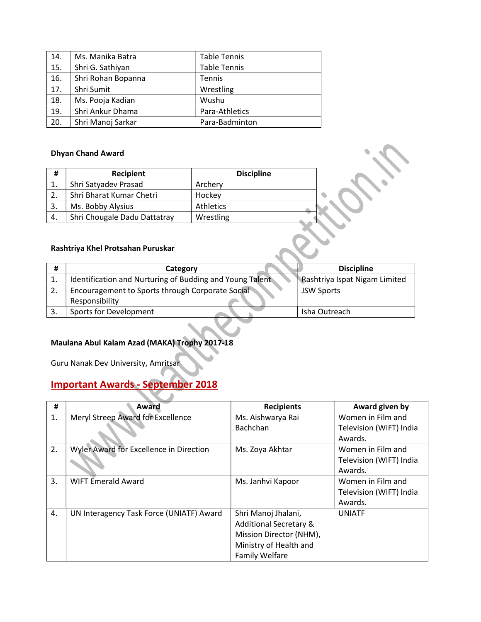| 14. | Ms. Manika Batra   | <b>Table Tennis</b> |
|-----|--------------------|---------------------|
| 15. | Shri G. Sathiyan   | <b>Table Tennis</b> |
| 16. | Shri Rohan Bopanna | Tennis              |
| 17. | Shri Sumit         | Wrestling           |
| 18. | Ms. Pooja Kadian   | Wushu               |
| 19. | Shri Ankur Dhama   | Para-Athletics      |
| 20. | Shri Manoj Sarkar  | Para-Badminton      |

## Dhyan Chand Award

| #                                 | <b>Recipient</b>             | <b>Discipline</b> |  |
|-----------------------------------|------------------------------|-------------------|--|
| 1.                                | Shri Satyadev Prasad         | Archery           |  |
| 2.                                | Shri Bharat Kumar Chetri     | Hockey            |  |
| 3.                                | Ms. Bobby Alysius            | <b>Athletics</b>  |  |
| 4.                                | Shri Chougale Dadu Dattatray | Wrestling         |  |
| Rashtriya Khel Protsahan Puruskar |                              |                   |  |

## Rashtriya Khel Protsahan Puruskar

| #  | Category                                                           | <b>Discipline</b>             |
|----|--------------------------------------------------------------------|-------------------------------|
| 1. | Identification and Nurturing of Budding and Young Talent           | Rashtriya Ispat Nigam Limited |
| 2. | Encouragement to Sports through Corporate Social<br>Responsibility | <b>JSW Sports</b>             |
| 3. | Sports for Development                                             | Isha Outreach                 |
|    |                                                                    |                               |

## Maulana Abul Kalam Azad (MAKA) Trophy 2017-18

Guru Nanak Dev University, Amritsar

# Important Awards - September 2018

| #  | Award                                    | <b>Recipients</b>                 | Award given by          |
|----|------------------------------------------|-----------------------------------|-------------------------|
| 1. | Meryl Streep Award for Excellence        | Ms. Aishwarya Rai                 | Women in Film and       |
|    |                                          | <b>Bachchan</b>                   | Television (WIFT) India |
|    |                                          |                                   | Awards.                 |
| 2. | Wyler Award for Excellence in Direction  | Ms. Zoya Akhtar                   | Women in Film and       |
|    |                                          |                                   | Television (WIFT) India |
|    |                                          |                                   | Awards.                 |
| 3. | <b>WIFT Emerald Award</b>                | Ms. Janhvi Kapoor                 | Women in Film and       |
|    |                                          |                                   | Television (WIFT) India |
|    |                                          |                                   | Awards.                 |
| 4. | UN Interagency Task Force (UNIATF) Award | Shri Manoj Jhalani,               | <b>UNIATF</b>           |
|    |                                          | <b>Additional Secretary &amp;</b> |                         |
|    |                                          | Mission Director (NHM),           |                         |
|    |                                          | Ministry of Health and            |                         |
|    |                                          | <b>Family Welfare</b>             |                         |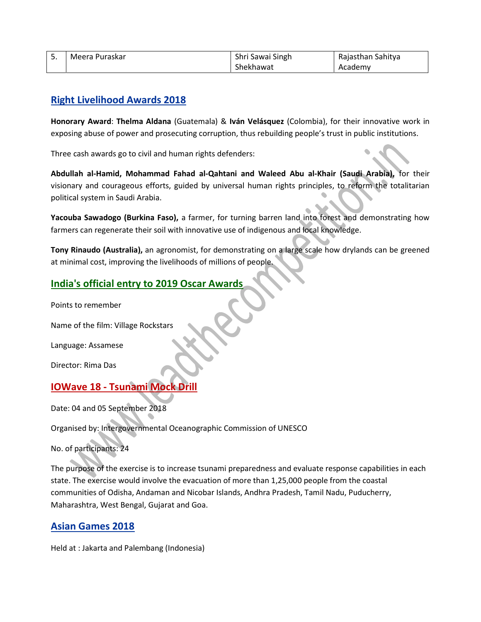| Meera Puraskar | Shri Sawai Singh | Rajasthan Sahitya |
|----------------|------------------|-------------------|
|                | Shekhawat        | Academy           |

# Right Livelihood Awards 2018

Honorary Award: Thelma Aldana (Guatemala) & Iván Velásquez (Colombia), for their innovative work in exposing abuse of power and prosecuting corruption, thus rebuilding people's trust in public institutions.

Three cash awards go to civil and human rights defenders:

Abdullah al-Hamid, Mohammad Fahad al-Qahtani and Waleed Abu al-Khair (Saudi Arabia), for their visionary and courageous efforts, guided by universal human rights principles, to reform the totalitarian political system in Saudi Arabia.

Yacouba Sawadogo (Burkina Faso), a farmer, for turning barren land into forest and demonstrating how farmers can regenerate their soil with innovative use of indigenous and local knowledge.

Tony Rinaudo (Australia), an agronomist, for demonstrating on a large scale how drylands can be greened at minimal cost, improving the livelihoods of millions of people.

# India's official entry to 2019 Oscar Awards

Points to remember

Name of the film: Village Rockstars

Language: Assamese

Director: Rima Das

# IOWave 18 - Tsunami Mock Drill

Date: 04 and 05 September 2018

Organised by: Intergovernmental Oceanographic Commission of UNESCO

No. of participants: 24

The purpose of the exercise is to increase tsunami preparedness and evaluate response capabilities in each state. The exercise would involve the evacuation of more than 1,25,000 people from the coastal communities of Odisha, Andaman and Nicobar Islands, Andhra Pradesh, Tamil Nadu, Puducherry, Maharashtra, West Bengal, Gujarat and Goa.

## Asian Games 2018

Held at : Jakarta and Palembang (Indonesia)